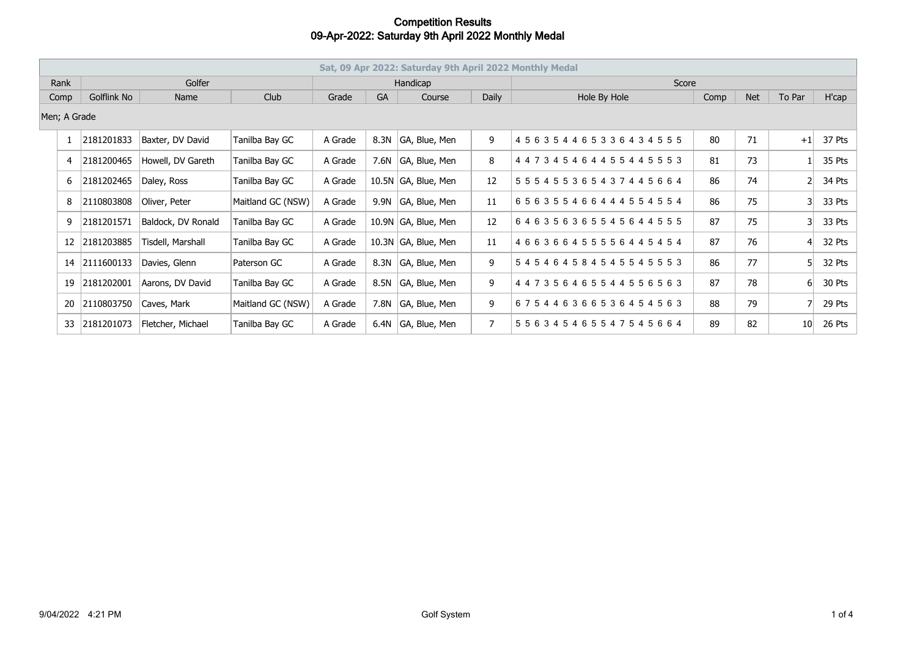|                | Sat, 09 Apr 2022: Saturday 9th April 2022 Monthly Medal |             |                    |                   |         |           |                     |                |                                     |      |            |                 |        |
|----------------|---------------------------------------------------------|-------------|--------------------|-------------------|---------|-----------|---------------------|----------------|-------------------------------------|------|------------|-----------------|--------|
| Rank<br>Golfer |                                                         |             |                    | Handicap          |         |           |                     | Score          |                                     |      |            |                 |        |
| Comp           |                                                         | Golflink No | Name               | Club              | Grade   | <b>GA</b> | Course              | Daily          | Hole By Hole                        | Comp | <b>Net</b> | To Par          | H'cap  |
| Men; A Grade   |                                                         |             |                    |                   |         |           |                     |                |                                     |      |            |                 |        |
|                | $\blacksquare$                                          | 2181201833  | Baxter, DV David   | Tanilba Bay GC    | A Grade | 8.3N      | GA, Blue, Men       | 9              | 456354465336434555                  | 80   | 71         | $+1$            | 37 Pts |
|                | 4                                                       | 2181200465  | Howell, DV Gareth  | Tanilba Bay GC    | A Grade | 7.6N      | GA, Blue, Men       | 8              | 4 4 7 3 4 5 4 6 4 4 5 5 4 4 5 5 5 3 | 81   | 73         |                 | 35 Pts |
|                | 6                                                       | 2181202465  | Daley, Ross        | Tanilba Bay GC    | A Grade |           | 10.5N GA, Blue, Men | 12             | 5 5 5 4 5 5 3 6 5 4 3 7 4 4 5 6 6 4 | 86   | 74         |                 | 34 Pts |
|                | 8                                                       | 2110803808  | Oliver, Peter      | Maitland GC (NSW) | A Grade | 9.9N      | GA, Blue, Men       | 11             | 656355466444554554                  | 86   | 75         |                 | 33 Pts |
|                | 9                                                       | 2181201571  | Baldock, DV Ronald | Tanilba Bay GC    | A Grade |           | 10.9N GA, Blue, Men | 12             | 646356365545644555                  | 87   | 75         | 3               | 33 Pts |
|                | 12                                                      | 2181203885  | Tisdell, Marshall  | Tanilba Bay GC    | A Grade |           | 10.3N GA, Blue, Men | 11             | 466366455556445454                  | 87   | 76         |                 | 32 Pts |
|                | 14                                                      | 2111600133  | Davies, Glenn      | Paterson GC       | A Grade | 8.3N      | GA, Blue, Men       | 9              | 545464584545545553                  | 86   | 77         | 5               | 32 Pts |
|                | 19                                                      | 2181202001  | Aarons, DV David   | Tanilba Bay GC    | A Grade | 8.5N      | GA, Blue, Men       | 9              | 447356465544556563                  | 87   | 78         | $6 \mid$        | 30 Pts |
|                | 20                                                      | 2110803750  | Caves, Mark        | Maitland GC (NSW) | A Grade | 7.8N      | GA, Blue, Men       | 9              | 675446366536454563                  | 88   | 79         |                 | 29 Pts |
|                | 33                                                      | 2181201073  | Fletcher, Michael  | Tanilba Bay GC    | A Grade | 6.4N      | GA, Blue, Men       | $\overline{7}$ | 556345465547545664                  | 89   | 82         | 10 <sup>1</sup> | 26 Pts |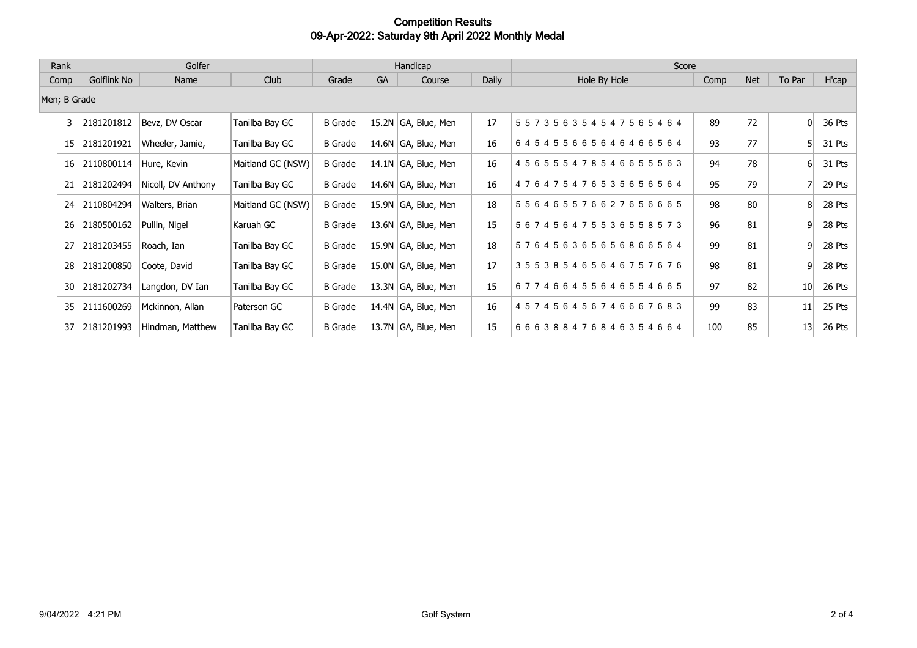| Rank | Golfer       |                    |                   | Handicap       |           |                         |       | Score                               |      |            |                 |        |  |
|------|--------------|--------------------|-------------------|----------------|-----------|-------------------------|-------|-------------------------------------|------|------------|-----------------|--------|--|
| Comp | Golflink No  | Name               | Club              | Grade          | <b>GA</b> | Course                  | Daily | Hole By Hole                        | Comp | <b>Net</b> | To Par          | H'cap  |  |
|      | Men; B Grade |                    |                   |                |           |                         |       |                                     |      |            |                 |        |  |
| 3    | 2181201812   | Bevz, DV Oscar     | Tanilba Bay GC    | <b>B</b> Grade |           | 15.2N GA, Blue, Men     | 17    | 5 5 7 3 5 6 3 5 4 5 4 7 5 6 5 4 6 4 | 89   | 72         | 0               | 36 Pts |  |
| 15   | 2181201921   | Wheeler, Jamie,    | Tanilba Bay GC    | <b>B</b> Grade |           | 14.6N GA, Blue, Men     | 16    | 645455665646466564                  | 93   | 77         | 51              | 31 Pts |  |
| 16   | 2110800114   | Hure, Kevin        | Maitland GC (NSW) | <b>B</b> Grade |           | 14.1N $ GA$ , Blue, Men | 16    | 456555478546655563                  | 94   | 78         | 6 <sup>1</sup>  | 31 Pts |  |
| 21   | 2181202494   | Nicoll, DV Anthony | Tanilba Bay GC    | <b>B</b> Grade |           | 14.6N GA, Blue, Men     | 16    | 476475476535656564                  | 95   | 79         | 7 <sup>1</sup>  | 29 Pts |  |
| 24   | 2110804294   | Walters, Brian     | Maitland GC (NSW) | <b>B</b> Grade |           | 15.9N GA, Blue, Men     | 18    | 556465576627656665                  | 98   | 80         | 8               | 28 Pts |  |
| 26   | 2180500162   | Pullin, Nigel      | Karuah GC         | <b>B</b> Grade |           | 13.6N GA, Blue, Men     | 15    | 567456475536558573                  | 96   | 81         | 9 <sup>1</sup>  | 28 Pts |  |
| 27   | 2181203455   | Roach, Ian         | Tanilba Bay GC    | <b>B</b> Grade |           | 15.9N GA, Blue, Men     | 18    | 576456365656866564                  | 99   | 81         | 9 <sup>1</sup>  | 28 Pts |  |
| 28   | 2181200850   | Coote, David       | Tanilba Bay GC    | <b>B</b> Grade |           | 15.0N GA, Blue, Men     | 17    | 355385465646757676                  | 98   | 81         | 9 <sup>1</sup>  | 28 Pts |  |
| 30   | 2181202734   | Langdon, DV Ian    | Tanilba Bay GC    | <b>B</b> Grade |           | 13.3N GA, Blue, Men     | 15    | 677466455646554665                  | 97   | 82         | 10 <sup>1</sup> | 26 Pts |  |
| 35   | 2111600269   | Mckinnon, Allan    | Paterson GC       | <b>B</b> Grade |           | 14.4N GA, Blue, Men     | 16    | 457456456746667683                  | 99   | 83         | 11              | 25 Pts |  |
| 37   | 2181201993   | Hindman, Matthew   | Tanilba Bay GC    | <b>B</b> Grade |           | 13.7N GA, Blue, Men     | 15    | 666388476846354664                  | 100  | 85         | 13 <sup>l</sup> | 26 Pts |  |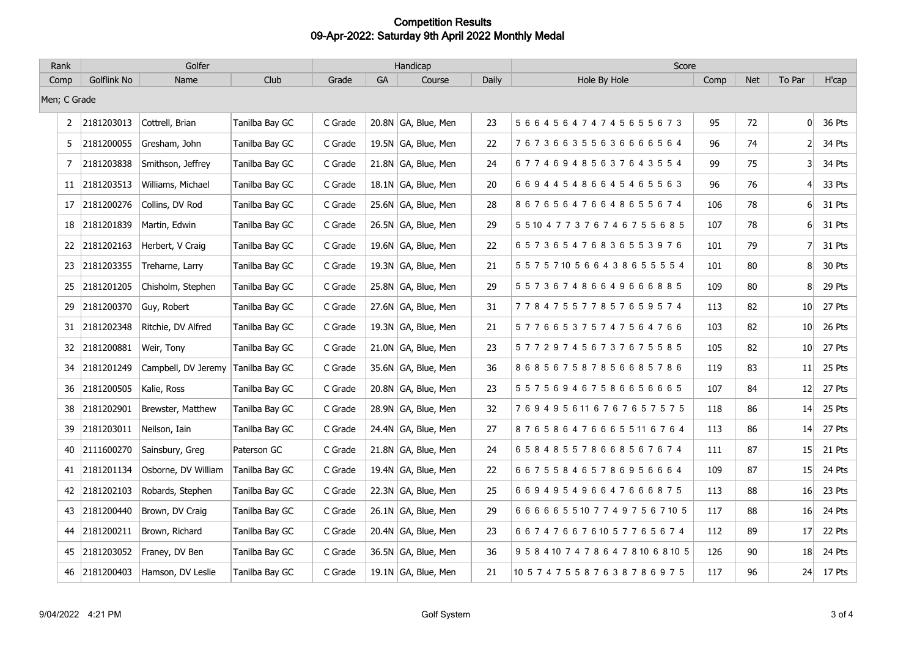| Rank         | Golfer       |                     |                | Handicap |    |                     |       | Score                                  |      |            |                  |        |
|--------------|--------------|---------------------|----------------|----------|----|---------------------|-------|----------------------------------------|------|------------|------------------|--------|
| Comp         | Golflink No  | Name                | Club           | Grade    | GA | Course              | Daily | Hole By Hole                           | Comp | <b>Net</b> | To Par           | H'cap  |
| Men; C Grade |              |                     |                |          |    |                     |       |                                        |      |            |                  |        |
|              | 2 2181203013 | Cottrell, Brian     | Tanilba Bay GC | C Grade  |    | 20.8N GA, Blue, Men | 23    | 566456474745655673                     | 95   | 72         | $\overline{0}$   | 36 Pts |
| 5            | 2181200055   | Gresham, John       | Tanilba Bay GC | C Grade  |    | 19.5N GA, Blue, Men | 22    | 767366355636666564                     | 96   | 74         | 2                | 34 Pts |
| 7            | 2181203838   | Smithson, Jeffrey   | Tanilba Bay GC | C Grade  |    | 21.8N GA, Blue, Men | 24    | 677469485637643554                     | 99   | 75         | 3                | 34 Pts |
| 11           | 2181203513   | Williams, Michael   | Tanilba Bay GC | C Grade  |    | 18.1N GA, Blue, Men | 20    | 669445486645465563                     | 96   | 76         | $\left 4\right $ | 33 Pts |
| 17           | 2181200276   | Collins, DV Rod     | Tanilba Bay GC | C Grade  |    | 25.6N GA, Blue, Men | 28    | 867656476648655674                     | 106  | 78         | 6 <sup>1</sup>   | 31 Pts |
| 18           | 2181201839   | Martin, Edwin       | Tanilba Bay GC | C Grade  |    | 26.5N GA, Blue, Men | 29    | 5 5 10 4 7 7 3 7 6 7 4 6 7 5 5 6 8 5   | 107  | 78         | 61               | 31 Pts |
| 22           | 2181202163   | Herbert, V Craig    | Tanilba Bay GC | C Grade  |    | 19.6N GA, Blue, Men | 22    | 657365476836553976                     | 101  | 79         | $\overline{7}$   | 31 Pts |
| 23           | 2181203355   | Treharne, Larry     | Tanilba Bay GC | C Grade  |    | 19.3N GA, Blue, Men | 21    | 5 5 7 5 7 10 5 6 6 4 3 8 6 5 5 5 5 4   | 101  | 80         | 8                | 30 Pts |
| 25           | 2181201205   | Chisholm, Stephen   | Tanilba Bay GC | C Grade  |    | 25.8N GA, Blue, Men | 29    | 557367486649666885                     | 109  | 80         | 8 <sup>°</sup>   | 29 Pts |
| 29           | 2181200370   | Guy, Robert         | Tanilba Bay GC | C Grade  |    | 27.6N GA, Blue, Men | 31    | 778475577857659574                     | 113  | 82         | 10 <sup>1</sup>  | 27 Pts |
| 31           | 2181202348   | Ritchie, DV Alfred  | Tanilba Bay GC | C Grade  |    | 19.3N GA, Blue, Men | 21    | 577665375747564766                     | 103  | 82         | 10 <sup>1</sup>  | 26 Pts |
| 32           | 2181200881   | Weir, Tony          | Tanilba Bay GC | C Grade  |    | 21.0N GA, Blue, Men | 23    | 577297456737675585                     | 105  | 82         | 10 <sup>1</sup>  | 27 Pts |
| 34           | 2181201249   | Campbell, DV Jeremy | Tanilba Bay GC | C Grade  |    | 35.6N GA, Blue, Men | 36    | 868567587856685786                     | 119  | 83         | 11               | 25 Pts |
| 36           | 2181200505   | Kalie, Ross         | Tanilba Bay GC | C Grade  |    | 20.8N GA, Blue, Men | 23    | 5 5 7 5 6 9 4 6 7 5 8 6 6 5 6 6 6 5    | 107  | 84         | 12 <sup>1</sup>  | 27 Pts |
| 38           | 2181202901   | Brewster, Matthew   | Tanilba Bay GC | C Grade  |    | 28.9N GA, Blue, Men | 32    | 7694956116767657575                    | 118  | 86         | 14               | 25 Pts |
| 39           | 2181203011   | Neilson, Iain       | Tanilba Bay GC | C Grade  |    | 24.4N GA, Blue, Men | 27    | 8765864766655116764                    | 113  | 86         | 14               | 27 Pts |
| 40           | 2111600270   | Sainsbury, Greg     | Paterson GC    | C Grade  |    | 21.8N GA, Blue, Men | 24    | 658485578668567674                     | 111  | 87         | 15               | 21 Pts |
| 41           | 2181201134   | Osborne, DV William | Tanilba Bay GC | C Grade  |    | 19.4N GA, Blue, Men | 22    | 667558465786956664                     | 109  | 87         | 15               | 24 Pts |
| 42           | 2181202103   | Robards, Stephen    | Tanilba Bay GC | C Grade  |    | 22.3N GA, Blue, Men | 25    | 669495496647666875                     | 113  | 88         | 16               | 23 Pts |
| 43           | 2181200440   | Brown, DV Craig     | Tanilba Bay GC | C Grade  |    | 26.1N GA, Blue, Men | 29    | 6 6 6 6 6 5 5 10 7 7 4 9 7 5 6 7 10 5  | 117  | 88         | 16               | 24 Pts |
| 44           | 2181200211   | Brown, Richard      | Tanilba Bay GC | C Grade  |    | 20.4N GA, Blue, Men | 23    | 6674766761057765674                    | 112  | 89         | 17               | 22 Pts |
| 45           | 2181203052   | Franey, DV Ben      | Tanilba Bay GC | C Grade  |    | 36.5N GA, Blue, Men | 36    | 9 5 8 4 10 7 4 7 8 6 4 7 8 10 6 8 10 5 | 126  | 90         | 18               | 24 Pts |
| 46           | 2181200403   | Hamson, DV Leslie   | Tanilba Bay GC | C Grade  |    | 19.1N GA, Blue, Men | 21    | 10 5 7 4 7 5 5 8 7 6 3 8 7 8 6 9 7 5   | 117  | 96         | 24               | 17 Pts |